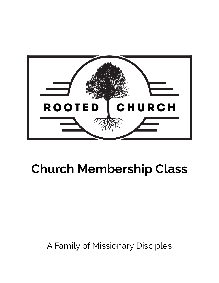

# **Church Membership Class**

# A Family of Missionary Disciples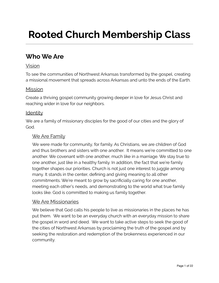# **Rooted Church Membership Class**

### **Who We Are**

#### Vision

To see the communities of Northwest Arkansas transformed by the gospel, creating a missional movement that spreads across Arkansas and unto the ends of the Earth.

#### Mission

Create a thriving gospel community growing deeper in love for Jesus Christ and reaching wider in love for our neighbors.

#### **Identity**

We are a family of missionary disciples for the good of our cities and the glory of God.

#### We Are Family

We were made for community, for family. As Christians, we are children of God and thus brothers and sisters with one another. It means we're committed to one another. We covenant with one another, much like in a marriage. We stay true to one another, just like in a healthy family. In addition, the fact that we're family together shapes our priorities. Church is not just one interest to juggle among many. It stands in the center, defining and giving meaning to all other commitments. We're meant to grow by sacrificially caring for one another, meeting each other's needs, and demonstrating to the world what true family looks like. God is committed to making us family together.

#### We Are Missionaries

We believe that God calls his people to live as missionaries in the places he has put them. We want to be an everyday church with an everyday mission to share the gospel in word and deed. We want to take active steps to seek the good of the cities of Northwest Arkansas by proclaiming the truth of the gospel and by seeking the restoration and redemption of the brokenness experienced in our community.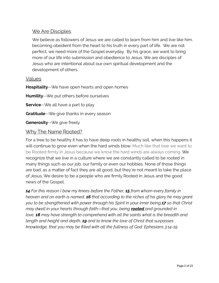#### We Are Disciples

We believe as followers of Jesus we are called to learn from him and live like him. becoming obedient from the heart to his truth in every part of life. We are not perfect, we need more of the Gospel everyday. By his grace, we want to bring more of our life into submission and obedience to Jesus. We are disciples of Jesus who are intentional about our own spiritual development and the development of others.

#### Values

**Hospitality**--We have open hearts and open homes

**Humility**--We put others before ourselves

**Service**--We all have a part to play

**Gratitude**--We give thanks in every season

**Generosity**--We give freely

#### Why The Name Rooted?

For a tree to be healthy it has to have deep roots in healthy soil, when this happens it will continue to grow even when the hard winds blow. Much like that tree we want to be Rooted firmly in Jesus because we know the hard winds are always coming. We recognize that we live in a culture where we are constantly called to be rooted in many things such as our job, our family or even our hobbies. None of those things are bad, as a matter of fact they are all good, but they're not meant to take the place of Jesus. We desire to be a people who are firmly Rooted in Jesus and the good news of the Gospel.

*14 For this reason I bow my knees before the Father, 15 from whom every family in heaven and on earth is named, 16 that according to the riches of his glory he may grant you to be strengthened with power through his Spirit in your inner being,17 so that Christ may dwell in your hearts through faith—that you, being rooted and grounded in love, 18 may have strength to comprehend with all the saints what is the breadth and length and height and depth, 19 and to know the love of Christ that surpasses knowledge, that you may be filled with all the fullness of God. Ephesians 3:14-19*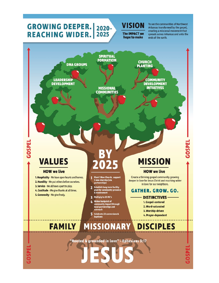#### **GROWING DEEPER.**  $2020 -$ **REACHING WIDER.** 2025

GSSPI

#### **VISION The IMPACT we** hope to make

To see the communities of Northwest Arkansas transformed by the gospel, creating a missional movement that spreads across Arkansas and unto the ends of the earth.

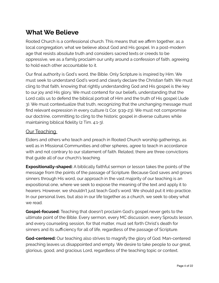## **What We Believe**

Rooted Church is a confessional church. This means that we affirm together, as a local congregation, what we believe about God and His gospel. In a post-modern age that resists absolute truth and considers sacred texts or creeds to be oppressive, we as a family proclaim our unity around a confession of faith, agreeing to hold each other accountable to it.

Our final authority is God's word, the Bible. Only Scripture is inspired by Him. We must seek to understand God's word and clearly declare the Christian faith. We must cling to that faith, knowing that rightly understanding God and His gospel is the key to our joy and His glory. We must contend for our beliefs, understanding that the Lord calls us to defend the biblical portrait of Him and the truth of His gospel (Jude 3). We must contextualize that truth, recognizing that the unchanging message must find relevant expression in every culture (1 Cor. 9:19-23). We must not compromise our doctrine, committing to cling to the historic gospel in diverse cultures while maintaining biblical fidelity (2 Tim. 4:1-3).

#### **Our Teaching**

Elders and others who teach and preach in Rooted Church worship gatherings, as well as in Missional Communities and other spheres, agree to teach in accordance with and not contrary to our statement of faith. Related, there are three convictions that guide all of our church's teaching.

**Expositionally-shaped:** A biblically faithful sermon or lesson takes the points of the message from the points of the passage of Scripture. Because God saves and grows sinners through His word, our approach in the vast majority of our teaching is an expositional one, where we seek to expose the meaning of the text and apply it to hearers. However, we shouldn't just teach God's word. We should put it into practice. In our personal lives, but also in our life together as a church, we seek to obey what we read.

**Gospel-focused:** Teaching that doesn't proclaim God's gospel never gets to the ultimate point of the Bible. Every sermon, every MC discussion, every Sprouts lesson, and every counseling session, for that matter, must set forth Christ's death for sinners and its sufficiency for all of life, regardless of the passage of Scripture.

**God-centered:** Our teaching also strives to magnify the glory of God. Man-centered preaching leaves us disappointed and empty. We desire to take people to our great, glorious, good, and gracious Lord, regardless of the teaching topic or context.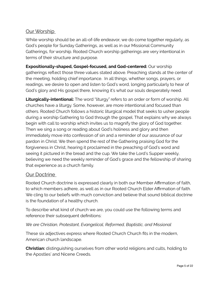#### Our Worship

While worship should be an all-of-life endeavor, we do come together regularly, as God's people for Sunday Gatherings, as well as in our Missional Community Gatherings, for worship. Rooted Church worship gatherings are very intentional in terms of their structure and purpose.

**Expositionally-shaped, Gospel-focused, and God-centered:** Our worship gatherings reflect those three values stated above. Preaching stands at the center of the meeting, holding chief importance. In all things, whether songs, prayers, or readings, we desire to open and listen to God's word, longing particularly to hear of God's glory and His gospel there, knowing it's what our souls desperately need.

**Liturgically-intentional:** The word "liturgy" refers to an order or form of worship. All churches have a liturgy. Some, however, are more intentional and focused than others. Rooted Church follows a historic liturgical model that seeks to usher people during a worship Gathering to God through the gospel. That explains why we always begin with call to worship which invites us to magnify the glory of God together. Then we sing a song or reading about God's holiness and glory and then immediately move into confession of sin and a reminder of our assurance of our pardon in Christ. We then spend the rest of the Gathering praising God for the forgiveness in Christ, hearing it proclaimed in the preaching of God's word and seeing it pictured in the bread and the cup. We take the Lord's Supper weekly, believing we need the weekly reminder of God's grace and the fellowship of sharing that experience as a church family.

#### Our Doctrine

Rooted Church doctrine is expressed clearly in both our Member Affirmation of faith, to which members adhere, as well as in our Rooted Church Elder Affirmation of faith. We cling to our beliefs with much conviction and believe that sound biblical doctrine is the foundation of a healthy church.

To describe what kind of church we are, you could use the following terms and reference their subsequent definitions:

#### *We are Christian, Protestant, Evangelical, Reformed, Baptistic, and Missional*

These six adjectives express where Rooted Church Church fits in the modern, American church landscape.

**Christian:** distinguishing ourselves from other world religions and cults, holding to the Apostles' and Nicene Creeds.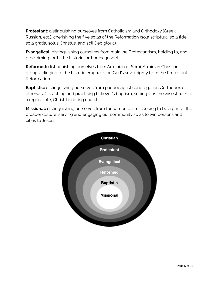**Protestant**: distinguishing ourselves from Catholicism and Orthodoxy (Greek, Russian, etc.), cherishing the five solas of the Reformation (sola scriptura, sola fide, sola gratia, solus Christus, and soli Deo gloria).

**Evangelical:** distinguishing ourselves from mainline Protestantism, holding to, and proclaiming forth, the historic, orthodox gospel.

**Reformed:** distinguishing ourselves from Arminian or Semi-Arminian Christian groups, clinging to the historic emphasis on God's sovereignty from the Protestant Reformation.

**Baptistic:** distinguishing ourselves from paedobaptist congregations (orthodox or otherwise), teaching and practicing believer's baptism, seeing it as the wisest path to a regenerate, Christ-honoring church.

**Missional:** distinguishing ourselves from fundamentalism, seeking to be a part of the broader culture, serving and engaging our community so as to win persons and cities to Jesus.

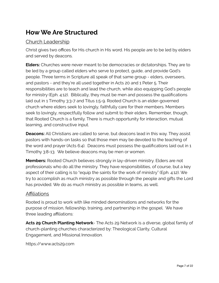## **How We Are Structured**

#### Church Leadership

Christ gives two offices for His church in His word. His people are to be led by elders and served by deacons.

**Elders:** Churches were never meant to be democracies or dictatorships. They are to be led by a group called elders who serve to protect, guide, and provide God's people. Three terms in Scripture all speak of that same group - elders, overseers, and pastors - and they're all used together in Acts 20 and 1 Peter 5. Their responsibilities are to teach and lead the church, while also equipping God's people for ministry (Eph. 4:12). Biblically, they must be men and possess the qualifications laid out in 1 Timothy 3:3-7 and Titus 1:5-9. Rooted Church is an elder-governed church where elders seek to lovingly, faithfully care for their members. Members seek to lovingly, respectfully follow and submit to their elders. Remember, though, that Rooted Church is a family. There is much opportunity for interaction, mutual learning, and constructive input.

**Deacons:** All Christians are called to serve, but deacons lead in this way. They assist pastors with hands-on tasks so that those men may be devoted to the teaching of the word and prayer (Acts 6:4). Deacons must possess the qualifications laid out in 1 Timothy 3:8-13. We believe deacons may be men or women.

**Members:** Rooted Church believes strongly in lay-driven ministry. Elders are not professionals who do all the ministry. They have responsibilities, of course, but a key aspect of their calling is to "equip the saints for the work of ministry" (Eph. 4:12). We try to accomplish as much ministry as possible through the people and gifts the Lord has provided. We do as much ministry as possible in teams, as well.

#### Affiliations

Rooted is proud to work with like minded denominations and networks for the purpose of mission, fellowship, training, and partnership in the gospel. We have three leading affiliations:

**Acts 29 Church Planting Network**- The Acts 29 Network is a diverse, global family of church-planting churches characterized by: Theological Clarity, Cultural Engagement, and Missional Innovation.

https://www.acts29.com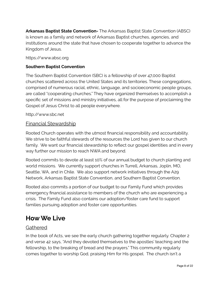**Arkansas Baptist State Convention-** The Arkansas Baptist State Convention (ABSC) is known as a family and network of Arkansas Baptist churches, agencies, and institutions around the state that have chosen to cooperate together to advance the Kingdom of Jesus.

https://www.absc.org

#### **Southern Baptist Convention**

The Southern Baptist Convention (SBC) is a fellowship of over 47,000 Baptist churches scattered across the United States and its territories. These congregations, comprised of numerous racial, ethnic, language, and socioeconomic people groups, are called "cooperating churches." They have organized themselves to accomplish a specific set of missions and ministry initiatives, all for the purpose of proclaiming the Gospel of Jesus Christ to all people everywhere.

http://www.sbc.net

#### Financial Stewardship

Rooted Church operates with the utmost financial responsibility and accountability. We strive to be faithful stewards of the resources the Lord has given to our church family. We want our financial stewardship to reflect our gospel identities and in every way further our mission to reach NWA and beyond.

Rooted commits to devote at least 10% of our annual budget to church planting and world missions. We currently support churches in Turrell, Arkansas, Joplin, MO, Seattle, WA, and in Chile. We also support network initiatives through the A29 Network, Arkansas Baptist State Convention, and Southern Baptist Convention.

Rooted also commits a portion of our budget to our Family Fund which provides emergency financial assistance to members of the church who are experiencing a crisis. The Family Fund also contains our adoption/foster care fund to support families pursuing adoption and foster care opportunities.

### **How We Live**

#### Gathered

In the book of Acts, we see the early church gathering together regularly. Chapter 2 and verse 42 says, "And they devoted themselves to the apostles' teaching and the fellowship, to the breaking of bread and the prayers." This community regularly comes together to worship God, praising Him for His gospel. The church isn't a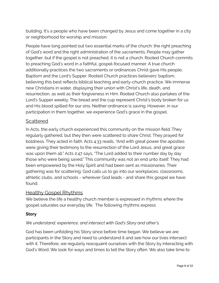building. It's a people who have been changed by Jesus and come together in a city or neighborhood for worship and mission.

People have long pointed out two essential marks of the church: the right preaching of God's word and the right administration of the sacraments. People may gather together, but if the gospel is not preached, it is not a church. Rooted Church commits to preaching God's word in a faithful, gospel-focused manner. A true church additionally practices the two sacraments or ordinances Christ gave His people, Baptism and the Lord's Supper. Rooted Church practices believers' baptism, believing this best reflects biblical teaching and early-church practice. We immerse new Christians in water, displaying their union with Christ's life, death, and resurrection, as well as their forgiveness in Him. Rooted Church also partakes of the Lord's Supper weekly. The bread and the cup represent Christ's body broken for us and His blood spilled for our sins. Neither ordinance is saving. However, in our participation in them together, we experience God's grace in the gospel.

#### **Scattered**

In Acts, the early church experienced this community on the mission field. They regularly gathered, but they then were scattered to share Christ. They prayed for boldness. They acted in faith. Acts 4:33 reads, "And with great power the apostles were giving their testimony to the resurrection of the Lord Jesus, and great grace was upon them all." Acts 2:47 says, "The Lord added to their number day by day those who were being saved." This community was not an end unto itself. They had been empowered by the Holy Spirit and had been sent as missionaries. Their gathering was for scattering. God calls us to go into our workplaces, classrooms, athletic clubs, and schools - wherever God leads - and share this gospel we have found.

#### Healthy Gospel Rhythms

We believe the life a healthy church member is expressed in rhythms where the gospel saturates our everyday life. The following rhythms express

#### **Story**

#### *We understand, experience, and intersect with God's Story and other's.*

God has been unfolding his Story since before time began. We believe we are participants in the Story and need to understand it and see how our lives intersect with it. Therefore, we regularly reacquaint ourselves with the Story by interacting with God's Word. We look for ways and times to tell the Story often. We also take time to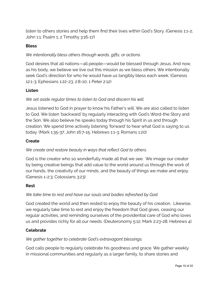listen to others stories and help them find their lives within God's Story. (Genesis 1:1-2; John 1:1; Psalm 1; 2 Timothy 3:16-17)

#### **Bless**

#### *We intentionally bless others through words, gifts, or actions.*

God desires that all nations—all people—would be blessed through Jesus. And now, as his body, we believe we live out this mission as we bless others. We intentionally seek God's direction for who he would have us tangibly bless each week. (Genesis 12:1-3; Ephesians 1:22-23; 2:8-10; 1 Peter 2:12)

#### **Listen**

#### *We set aside regular times to listen to God and discern his will.*

Jesus listened to God in prayer to know his Father's will. We are also called to listen to God. We listen 'backward' by regularly interacting with God's Word-the Story and the Son. We also believe he speaks today through his Spirit in us and through creation. We spend time actively listening 'forward' to hear what God is saying to us today. (Mark 1:35-37; John 16:7-15; Hebrews 1:1-3; Romans 1:20)

#### **Create**

#### *We create and restore beauty in ways that reflect God to others.*

God is the creator who so wonderfully made all that we see. We image our creator by being creative beings that add value to the world around us through the work of our hands, the creativity of our minds, and the beauty of things we make and enjoy. (Genesis 1-2:3; Colossians 3:23)

#### **Rest**

#### *We take time to rest and have our souls and bodies refreshed by God.*

God created the world and then rested to enjoy the beauty of his creation. Likewise, we regularly take time to rest and enjoy the freedom that God gives, ceasing our regular activities, and reminding ourselves of the providential care of God who loves us and provides richly for all our needs. (Deuteronomy 5:12; Mark 2:23-28; Hebrews 4)

#### **Celebrate**

#### *We gather together to celebrate God's extravagant blessings.*

God calls people to regularly celebrate his goodness and grace. We gather weekly in missional communities and regularly as a larger family, to share stories and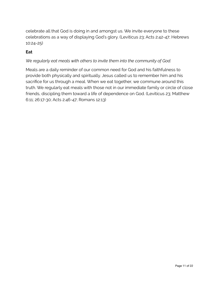celebrate all that God is doing in and amongst us. We invite everyone to these celebrations as a way of displaying God's glory. (Leviticus 23; Acts 2:42-47; Hebrews 10:24-25)

#### **Eat**

#### *We regularly eat meals with others to invite them into the community of God.*

Meals are a daily reminder of our common need for God and his faithfulness to provide both physically and spiritually. Jesus called us to remember him and his sacrifice for us through a meal. When we eat together, we commune around this truth. We regularly eat meals with those not in our immediate family or circle of close friends, discipling them toward a life of dependence on God. (Leviticus 23; Matthew 6:11; 26:17-30; Acts 2:46-47; Romans 12:13)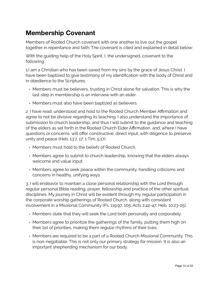## **Membership Covenant**

Members of Rooted Church covenant with one another to live out the gospel together in repentance and faith. The covenant is cited and explained in detail below:

With the guiding help of the Holy Spirit, I, the undersigned, covenant to the following:

1.I am a Christian who has been saved from my sins by the grace of Jesus Christ. I have been baptized to give testimony of my identification with the body of Christ and in obedience to the Scriptures.

- Members must be believers, trusting in Christ alone for salvation. This is why the last step in membership is an interview with an elder.
- Members must also have been baptized as believers.

2. I have read, understood and hold to the Rooted Church Member Affirmation and agree to not be divisive regarding its teaching. I also understand the importance of submission to church leadership, and thus I will submit to the guidance and teaching of the elders as set forth in the Rooted Church Elder Affirmation, and, where I have questions or concerns, will offer constructive, direct input, with diligence to preserve unity and peace (Heb. 13:7, 17; 1 Tim. 5:17).

- Members must hold to the beliefs of Rooted Church.
- Members agree to submit to church leadership, knowing that the elders always welcome and value input.
- Members agree to seek peace within the community, handling criticisms and concerns in healthy, unifying ways.

3. I will endeavor to maintain a close personal relationship with the Lord through regular personal Bible reading, prayer, fellowship and practice of the other spiritual disciplines. My journey in Christ will be evident through my regular participation in the corporate worship gatherings of Rooted Church, along with consistent involvement in a Missional Community (Ps. 119:97, 105; Acts 2:42-47; Heb. 10:23-25).

- Members state that they will seek the Lord both personally and corporately.
- Members agree to prioritize the gatherings of the family, putting them high on their list of priorities, making them regular rhythms of their lives.
- Members are required to be a part of a Rooted Church Missional Community. This is non-negotiable. This is not only our primary strategy for mission. It is also an important shepherding mechanism for our body.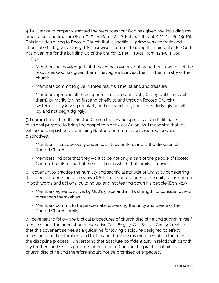4. I will strive to properly steward the resources that God has given me, including my time, talent and treasure (Eph. 5:15-18; Rom. 12:1-2; Eph. 4:1-16; Gal. 5:22-26; Pr. 3:9-10). This includes giving to Rooted Church that is sacrificial, primary, systematic and cheerful (Mt. 6:19-21; 2 Cor. 9:6-8). Likewise, I commit to using the spiritual gift(s) God has given me for the building up of the church (1 Pet. 4:10-11; Rom. 12:1-8; 1 Cor. 12:7-31).

- Members acknowledge that they are not owners, but are rather stewards, of the resources God has given them. They agree to invest them in the ministry of the church.
- Members commit to give in three realms: time, talent, and treasure.
- Members agree, in all three spheres, to give sacrificially (giving until it impacts them), primarily (giving first and chiefly to and through Rooted Church), systematically (giving regularly and not randomly), and cheerfully (giving with joy and not begrudgingly).

5. I commit myself to the Rooted Church family and agree to aid in fulfilling its missional purpose to bring the gospel to Northwest Arkansas. I recognize that this will be accomplished by pursuing Rooted Church' mission, vision, values and distinctives.

- Members must obviously endorse, as they understand it, the direction of Rooted Church.
- Members indicate that they want to be not only a part of the people of Rooted Church, but also a part of the direction in which that family is moving.

6. I covenant to practice the humility and sacrificial attitude of Christ by considering the needs of others before my own (Phil. 2:1-11), and to pursue the unity of his church in both words and actions, building up, and not tearing down his people (Eph. 4:1-3).

- Members agree to strive, by God's grace and in His strength, to consider others more than themselves.
- Members commit to be peacemakers, seeking the unity and peace of the Rooted Church family.

7. I covenant to follow the biblical procedures of church discipline and submit myself to discipline if the need should ever arise (Mt. 18:15-17; Gal. 6:1-5, 1 Cor. 5). I realize that this covenant serves as a guideline for loving discipline designed to effect repentance and restoration, and that I cannot revoke my membership in the midst of the discipline process. I understand that absolute confidentiality in relationships with my brothers and sisters prevents obedience to Christ in the practice of biblical church discipline and therefore should not be promised or expected.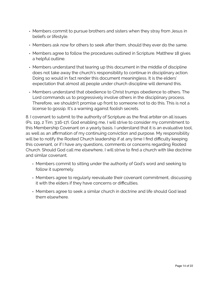- Members commit to pursue brothers and sisters when they stray from Jesus in beliefs or lifestyle.
- Members ask now for others to seek after them, should they ever do the same.
- Members agree to follow the procedures outlined in Scripture. Matthew 18 gives a helpful outline.
- Members understand that tearing up this document in the middle of discipline does not take away the church's responsibility to continue in disciplinary action. Doing so would in fact render this document meaningless. It is the elders' expectation that almost all people under church discipline will demand this.
- Members understand that obedience to Christ trumps obedience to others. The Lord commands us to progressively involve others in the disciplinary process. Therefore, we shouldn't promise up front to someone not to do this. This is not a license to gossip. It's a warning against foolish secrets.

8. I covenant to submit to the authority of Scripture as the final arbiter on all issues (Ps. 119, 2 Tim. 3:16-17). God enabling me, I will strive to consider my commitment to this Membership Covenant on a yearly basis. I understand that it is an evaluative tool, as well as an affirmation of my continuing conviction and purpose. My responsibility will be to notify the Rooted Church leadership if at any time I find difficulty keeping this covenant, or if I have any questions, comments or concerns regarding Rooted Church. Should God call me elsewhere, I will strive to find a church with like doctrine and similar covenant.

- Members commit to sitting under the authority of God's word and seeking to follow it supremely.
- Members agree to regularly reevaluate their covenant commitment, discussing it with the elders if they have concerns or difficulties.
- Members agree to seek a similar church in doctrine and life should God lead them elsewhere.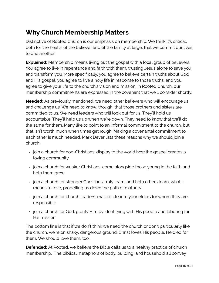## **Why Church Membership Matters**

Distinctive of Rooted Church is our emphasis on membership. We think it's critical, both for the health of the believer and of the family at large, that we commit our lives to one another.

**Explained:** Membership means living out the gospel with a local group of believers. You agree to live in repentance and faith with them, trusting Jesus alone to save you and transform you. More specifically, you agree to believe certain truths about God and His gospel, you agree to live a holy life in response to those truths, and you agree to give your life to the church's vision and mission. In Rooted Church, our membership commitments are expressed in the covenant that we'll consider shortly.

**Needed:** As previously mentioned, we need other believers who will encourage us and challenge us. We need to know, though, that those brothers and sisters are committed to us. We need leaders who will look out for us. They'll hold us accountable. They'll help us up when we're down. They need to know that we'll do the same for them. Many like to point to an informal commitment to the church, but that isn't worth much when times get rough. Making a covenantal commitment to each other is much needed. Mark Dever lists these reasons why we should join a church:

- join a church for non-Christians: display to the world how the gospel creates a loving community
- join a church for weaker Christians: come alongside those young in the faith and help them grow
- join a church for stronger Christians: truly learn, and help others learn, what it means to love, propelling us down the path of maturity
- join a church for church leaders: make it clear to your elders for whom they are responsible
- join a church for God: glorify Him by identifying with His people and laboring for His mission

The bottom line is that if we don't think we need the church or don't particularly like the church, we're on shaky, dangerous ground. Christ loves His people. He died for them. We should love them, too.

**Defended:** At Rooted, we believe the Bible calls us to a healthy practice of church membership. The biblical metaphors of body, building, and household all convey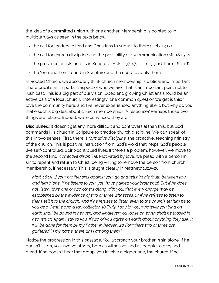the idea of a committed union with one another. Membership is pointed to in multiple ways as seen in the texts below.

- the call for leaders to lead and Christians to submit to them (Heb. 13:17)
- the call for church discipline and the possibility of excommunication (Mt. 18:15-20)
- the presence of lists or rolls in Scripture (Acts 2:37-47; 1 Tim. 5:3-16; Rom. 16:1-16)
- the "one anothers" found in Scripture and the need to apply them

In Rooted Church, we absolutely think church membership is biblical and important. Therefore, it's an important aspect of who we are. That is an important point not to rush past. This is a big part of our vision. Obedient, growing Christians should be an active part of a local church. Interestingly, one common question we get is this: "I love the community here, and I've never experienced anything like it, but why do you make such a big deal about church membership?" A response? Perhaps those two things are related. Indeed, we're convinced they are.

**Disciplined:** It doesn't get any more difficult and controversial than this, but God commands His church in Scripture to practice church discipline. We can speak of this in two senses. First, there is *formative discipline,* the proactive, teaching ministry of the church. This is positive instruction from God's word that helps God's people live self-controlled, Spirit-controlled lives. If there's a problem, however, we move to the second kind, *corrective discipline.* Motivated by love, we plead with a person in sin to repent and return to Christ, being willing to remove the person from church membership, if necessary. This is taught clearly in Matthew 18:15-20.

*Matt. 18:15 "If your brother sins against you, go and tell him his fault, between you and him alone. If he listens to you, you have gained your brother. 16 But if he does not listen, take one or two others along with you, that every charge may be established by the evidence of two or three witnesses. 17 If he refuses to listen to them, tell it to the church. And if he refuses to listen even to the church, let him be to you as a Gentile and a tax collector. 18 Truly, I say to you, whatever you bind on earth shall be bound in heaven, and whatever you loose on earth shall be loosed in heaven. 19 Again I say to you, if two of you agree on earth about anything they ask, it will be done for them by my Father in heaven. 20 For where two or three are gathered in my name, there am I among them."* 

Notice the progression in this passage. You approach your brother in sin alone. If he doesn't listen, you involve others, both as witnesses and as people to pray and plead. If he doesn't hear that group, you involve a bigger one, the church. If he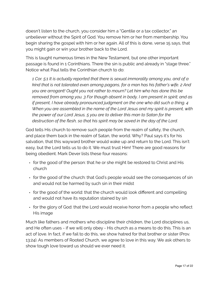doesn't listen to the church, you consider him a "Gentile or a tax collector," an unbeliever without the Spirit of God. You remove him or her from membership. You begin sharing the gospel with him or her again. All of this is done, verse 15 says, that you might gain or win your brother back to the Lord.

This is taught numerous times in the New Testament, but one other important passage is found in 1 Corinthians. There the sin is public and already in "stage three." Notice what Paul tells the Corinthian church to do:

*1 Cor. 5:1 It is actually reported that there is sexual immorality among you, and of a kind that is not tolerated even among pagans, for a man has his father's wife. 2 And you are arrogant! Ought you not rather to mourn? Let him who has done this be removed from among you. 3 For though absent in body, I am present in spirit; and as if present, I have already pronounced judgment on the one who did such a thing. 4 When you are assembled in the name of the Lord Jesus and my spirit is present, with the power of our Lord Jesus, 5 you are to deliver this man to Satan for the destruction of the flesh, so that his spirit may be saved in the day of the Lord.* 

God tells His church to remove such people from the realm of safety, the church, and place them back in the realm of Satan, the world. Why? Paul says it's for his salvation, that this wayward brother would wake up and return to the Lord. This isn't easy, but the Lord tells us to do it. We must trust Him! There are good reasons for being obedient. Mark Dever lists these four reasons:

- for the good of the person: that he or she might be restored to Christ and His church
- for the good of the church: that God's people would see the consequences of sin and would not be harmed by such sin in their midst
- for the good of the world: that the church would look different and compelling and would not have its reputation stained by sin
- for the glory of God: that the Lord would receive honor from a people who reflect His image

Much like fathers and mothers who discipline their children, the Lord disciplines us, and He often uses - if we will only obey - His church as a means to do this. This is an act of love. In fact, if we fail to do this, we show hatred for that brother or sister (Prov. 13:24). As members of Rooted Church, we agree to love in this way. We ask others to show tough love toward us should we ever need it.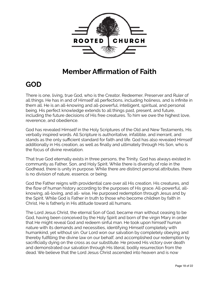

## **Member Affirmation of Faith**

## **GOD**

There is one, living, true God, who is the Creator, Redeemer, Preserver and Ruler of all things. He has in and of Himself all perfections, including holiness, and is infinite in them all. He is an all-knowing and all-powerful, intelligent, spiritual, and personal being. His perfect knowledge extends to all things past, present, and future, including the future decisions of His free creatures. To him we owe the highest love, reverence, and obedience.

God has revealed Himself in the Holy Scriptures of the Old and New Testaments, His verbally inspired words. All Scripture is authoritative, infallible, and inerrant, and stands as the only sufficient standard for faith and life. God has also revealed Himself additionally in His creation, as well as finally and ultimately through His Son, who is the focus of divine revelation.

That true God eternally exists in three persons, the Trinity. God has always existed in community as Father, Son, and Holy Spirit. While there is diversity of role in the Godhead, there is unity in purpose. While there are distinct personal attributes, there is no division of nature, essence, or being.

God the Father reigns with providential care over all His creation, His creatures, and the flow of human history according to the purposes of His grace. All-powerful, allknowing, all-loving, and all- wise, He purposed redemption through Jesus and by the Spirit. While God is Father in truth to those who become children by faith in Christ, He is fatherly in His attitude toward all humans.

The Lord Jesus Christ, the eternal Son of God, became man without ceasing to be God, having been conceived by the Holy Spirit and born of the virgin Mary in order that He might reveal God and redeem sinful man. He took upon himself human nature with its demands and necessities, identifying Himself completely with humankind, yet without sin. Our Lord won our salvation by completely obeying and thereby fulfilling the divine law on our behalf, and accomplished our redemption by sacrificially dying on the cross as our substitute. He proved His victory over death and demonstrated our salvation through His literal, bodily resurrection from the dead. We believe that the Lord Jesus Christ ascended into heaven and is now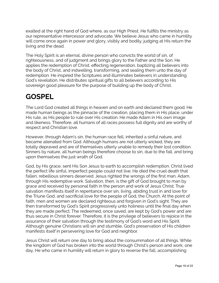exalted at the right hand of God where, as our High Priest, He fulfills the ministry as our representative intercessor and advocate. We believe Jesus who came in humility will come once again in power and glory, visibly and bodily, judging at His return the living and the dead.

The Holy Spirit is an eternal, divine person who convicts the world of sin, of righteousness, and of judgment and brings glory to the Father and the Son. He applies the redemption of Christ, effecting regeneration, baptizing all believers into the body of Christ, and indwelling, transforming, and sealing them unto the day of redemption. He inspired the Scriptures and illuminates believers in understanding God's revelation. He distributes spiritual gifts to all believers according to His sovereign good pleasure for the purpose of building up the body of Christ.

## **GOSPEL**

The Lord God created all things in heaven and on earth and declared them good. He made human beings as the pinnacle of the creation, placing them in His place, under His rule, as His people to rule over His creation. He made Adam in His own image and likeness. Therefore, all humans of all races possess full dignity and are worthy of respect and Christian love.

However, through Adam's sin, the human race fell, inherited a sinful nature, and became alienated from God. Although humans are not utterly wicked, they are totally depraved and are of themselves utterly unable to remedy their lost condition. Sinners by nature, all human beings therefore choose to sin, due to the fall, and bring upon themselves the just wrath of God.

God, by His grace, sent His Son Jesus to earth to accomplish redemption. Christ lived the perfect life sinful, imperfect people could not live. He died the cruel death that fallen, rebellious sinners deserved. Jesus righted the wrongs of the first man, Adam, through His redemptive work. Salvation, then, is the gift of God brought to man by grace and received by personal faith in the person and work of Jesus Christ. True salvation manifests itself in repentance over sin, living, abiding trust in and love for the Triune God, and sacrificial love for the people of God, the Church. At the point of faith, men and women are declared righteous and forgiven in God's sight. They are then transformed by God's Spirit progressively unto holiness until the final day when they are made perfect. The redeemed, once saved, are kept by God's power and are thus secure in Christ forever. Therefore, it is the privilege of believers to rejoice in the assurance of their salvation through the testimony of God's word and His Spirit. Although genuine Christians will sin and stumble, God's preservation of His children manifests itself in persevering love for God and neighbor.

Jesus Christ will return one day to bring about the consummation of all things. While the kingdom of God has broken into the world through Christ's person and work, one day, He who came in humility will return in glory to reverse the fall, accomplishing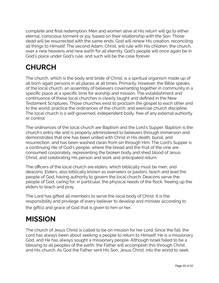complete and final redemption. Men and women alive at His return will go to either eternal, conscious torment or joy, based on their relationship with the Son. Those dead will be resurrected with the same ends. God will renew His creation, reconciling all things to Himself. The second Adam, Christ, will rule with His children, the church, over a new heavens and new earth for all eternity. God's people will once again be in God's place under God's rule, and such will be the case forever.

# **CHURCH**

The church, which is the body and bride of Christ, is a spiritual organism made up of all born-again persons in all places at all times. Primarily, however, the Bible speaks of the local church, an assembly of believers covenanting together in community in a specific place at a specific time for worship and mission. The establishment and continuance of these local churches is clearly taught and defined in the New Testament Scriptures. Those churches exist to proclaim the gospel to each other and to the world, practice the ordinances of the church, and exercise church discipline. The local church is a self-governed, independent body, free of any external authority or control.

The ordinances of the local church are Baptism and the Lord's Supper. Baptism is the church's entry rite and is properly administered to believers through immersion and demonstrates that one has been united with Christ in His death, burial, and resurrection, and has been washed clean from sin through Him. The Lord's Supper is a continuing rite of God's people, where the bread and the fruit of the vine are consumed corporately, representing the broken body and shed blood of Jesus Christ, and celebrating His person and work and anticipated return.

The officers of the local church are elders, which biblically must be men, and deacons. Elders, also biblically known as overseers or pastors, teach and lead the people of God, having authority to govern the local church. Deacons serve the people of God, caring for, in particular, the physical needs of the flock, freeing up the elders to teach and pray.

The Lord has gifted all members to serve the local body of Christ. It is the responsibility and privilege of every believer to develop and minister according to the gift(s) and grace of God that is given to him or her.

# **MISSION**

The church of Jesus Christ is called to be on mission for her Lord. Since the fall, the Lord has always been about seeking a people to return to Himself. He is a missionary God, and He has always sought a missionary people. Although Israel failed to be a blessing to all peoples of the earth, the Father will accomplish this through Christ and His church. As God the Father sent His Son, Jesus Christ, into the world to seek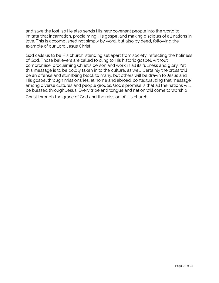and save the lost, so He also sends His new covenant people into the world to imitate that incarnation, proclaiming His gospel and making disciples of all nations in love. This is accomplished not simply by word, but also by deed, following the example of our Lord Jesus Christ.

God calls us to be His church, standing set apart from society, reflecting the holiness of God. Those believers are called to cling to His historic gospel, without compromise, proclaiming Christ's person and work in all its fullness and glory. Yet this message is to be boldly taken in to the culture, as well. Certainly the cross will be an offense and stumbling block to many, but others will be drawn to Jesus and His gospel through missionaries, at home and abroad, contextualizing that message among diverse cultures and people groups. God's promise is that all the nations will be blessed through Jesus. Every tribe and tongue and nation will come to worship Christ through the grace of God and the mission of His church.